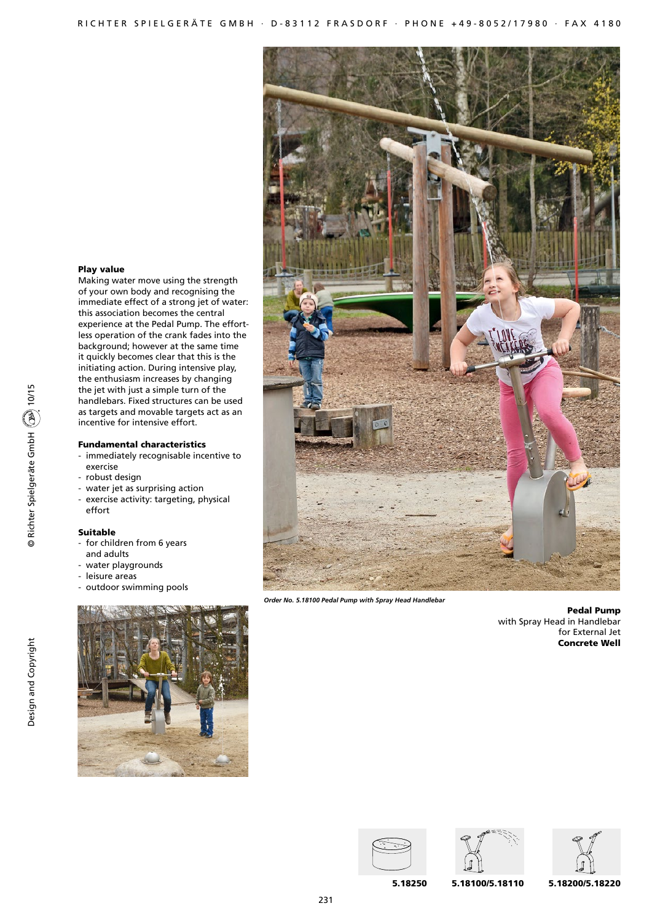# Play value

Making water move using the strength of your own body and recognising the immediate effect of a strong jet of water: this association becomes the central experience at the Pedal Pump. The effortless operation of the crank fades into the background; however at the same time it quickly becomes clear that this is the initiating action. During intensive play, the enthusiasm increases by changing the jet with just a simple turn of the handlebars. Fixed structures can be used as targets and movable targets act as an incentive for intensive effort.

### Fundamental characteristics

- immediately recognisable incentive to exercise
- robust design
- water jet as surprising action
- exercise activity: targeting, physical effort

# Suitable

- for children from 6 years
- and adults
- water playgrounds - leisure areas
- outdoor swimming pools





*Order No. 5.18100 Pedal Pump with Spray Head Handlebar*

Pedal Pump with Spray Head in Handlebar for External Jet Concrete Well







5.18100/5.18110 5.18250 5.18200/5.18220